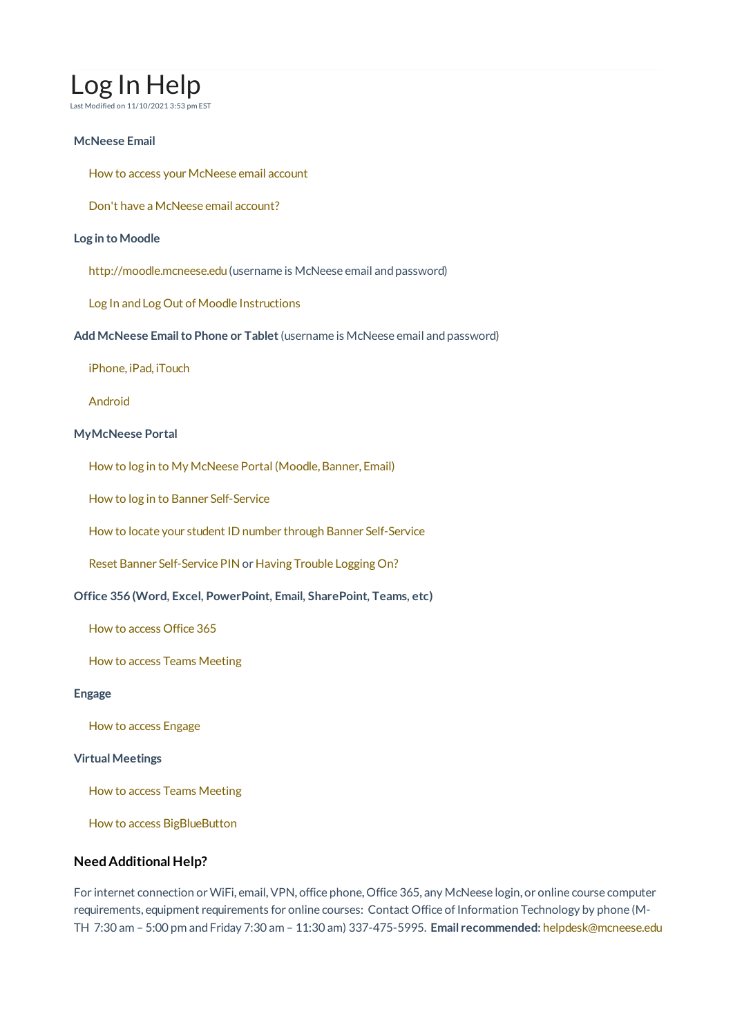# Log In Help

Last Modified on 11/10/2021 3:53 pm EST

## **McNeese Email**

How to access your McNeese email account

Don't have a McNeese email account?

## **Log in to Moodle**

http://moodle.mcneese.edu (username is McNeese email and password)

Log In and Log Out of Moodle Instructions

**Add McNeese Emailto Phone or Tablet**(username is McNeese email andpassword)

iPhone, iPad, iTouch

Android

## **MyMcNeese Portal**

How to log in to My McNeese Portal (Moodle, Banner, Email)

How to log in to Banner Self-Service

How to locate your student ID number through Banner Self-Service

Reset Banner Self-Service PIN or Having Trouble Logging On?

## **Office 356 (Word, Excel, PowerPoint, Email, SharePoint, Teams, etc)**

How to access Office 365

How to access Teams Meeting

## **Engage**

How to access Engage

#### **Virtual Meetings**

How to access Teams Meeting

How to access BigBlueButton

## **Need Additional Help?**

For internet connection or WiFi, email, VPN, office phone, Office 365, any McNeese login, or online course computer requirements, equipment requirements for online courses: Contact Office of Information Technology by phone (M-TH 7:30 am – 5:00 pm andFriday 7:30 am – 11:30 am) 337-475-5995. **Email recommended:** helpdesk@mcneese.edu